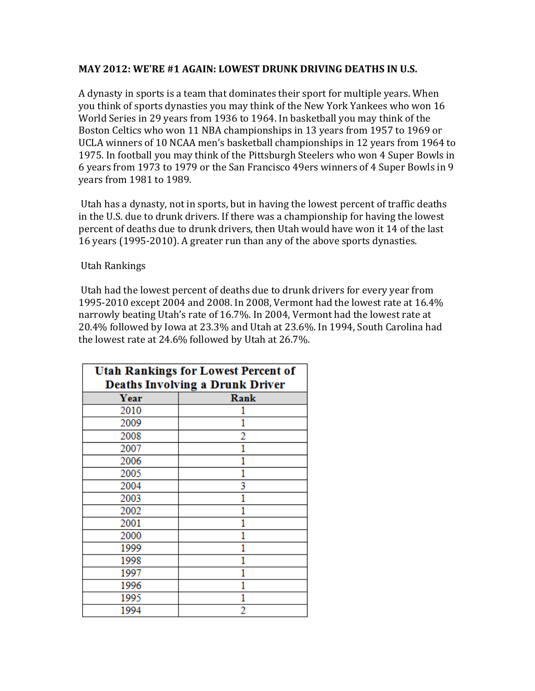## **MAY 2012: WE'RE #1 AGAIN: LOWEST DRUNK DRIVING DEATHS IN U.S.**

A dynasty in sports is a team that dominates their sport for multiple years. When you think of sports dynasties you may think of the New York Yankees who won 16 World Series in 29 years from 1936 to 1964. In basketball you may think of the Boston Celtics who won 11 NBA championships in 13 years from 1957 to 1969 or UCLA winners of 10 NCAA men's basketball championships in 12 years from 1964 to 1975. In football you may think of the Pittsburgh Steelers who won 4 Super Bowls in 6 years from 1973 to 1979 or the San Francisco 49ers winners of 4 Super Bowls in 9 years from 1981 to 1989.

Utah has a dynasty, not in sports, but in having the lowest percent of traffic deaths in the U.S. due to drunk drivers. If there was a championship for having the lowest percent of deaths due to drunk drivers, then Utah would have won it 14 of the last 16 years (1995-2010). A greater run than any of the above sports dynasties.

Utah Rankings

Utah had the lowest percent of deaths due to drunk drivers for every year from 1995-2010 except 2004 and 2008. In 2008, Vermont had the lowest rate at 16.4% narrowly beating Utah's rate of 16.7%. In 2004, Vermont had the lowest rate at 20.4% followed by Iowa at 23.3% and Utah at 23.6%. In 1994, South Carolina had the lowest rate at  $24.6\%$  followed by Utah at  $26.7\%$ .

| <b>Utah Rankings for Lowest Percent of</b> |      |  |
|--------------------------------------------|------|--|
| <b>Deaths Involving a Drunk Driver</b>     |      |  |
| Year                                       | Rank |  |
| 2010                                       |      |  |
| 2009                                       |      |  |
| 2008                                       | 2    |  |
| 2007                                       |      |  |
| 2006                                       |      |  |
| 2005                                       |      |  |
| 2004                                       | 3    |  |
| 2003                                       |      |  |
| 2002                                       |      |  |
| 2001                                       |      |  |
| 2000                                       |      |  |
| 1999                                       |      |  |
| 1998                                       |      |  |
| 1997                                       |      |  |
| 1996                                       |      |  |
| 1995                                       |      |  |
| 1994                                       | 2    |  |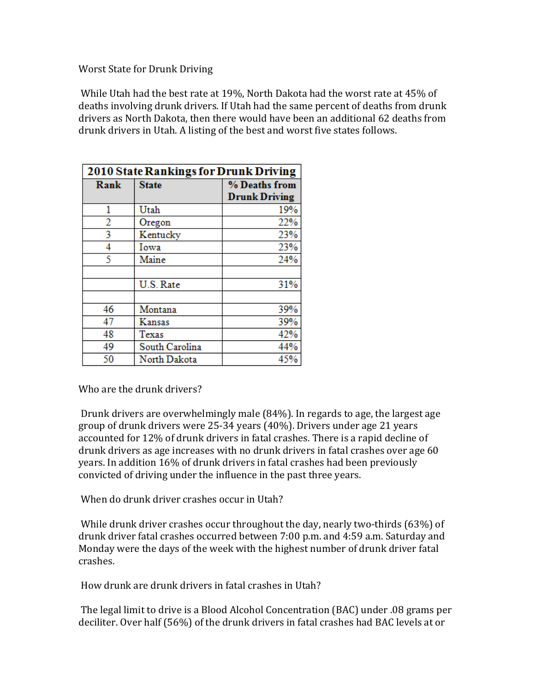## Worst State for Drunk Driving

While Utah had the best rate at 19%, North Dakota had the worst rate at 45% of deaths involving drunk drivers. If Utah had the same percent of deaths from drunk drivers as North Dakota, then there would have been an additional 62 deaths from drunk drivers in Utah. A listing of the best and worst five states follows.

| 2010 State Rankings for Drunk Driving |                |                                       |
|---------------------------------------|----------------|---------------------------------------|
| Rank                                  | <b>State</b>   | % Deaths from<br><b>Drunk Driving</b> |
| 1                                     | Utah           | 19%                                   |
| 2                                     | Oregon         | 22%                                   |
| 3                                     | Kentucky       | 23%                                   |
| 4                                     | Iowa           | 23%                                   |
| 5                                     | Maine          | 24%                                   |
|                                       | U.S. Rate      | 31%                                   |
| 46                                    | Montana        | 39%                                   |
| 47                                    | Kansas         | 39%                                   |
| 48                                    | Texas          | 42%                                   |
| 49                                    | South Carolina | 44%                                   |
| 50                                    | North Dakota   | 45%                                   |

Who are the drunk drivers?

Drunk drivers are overwhelmingly male  $(84%)$ . In regards to age, the largest age group of drunk drivers were 25-34 years (40%). Drivers under age 21 years accounted for 12% of drunk drivers in fatal crashes. There is a rapid decline of drunk drivers as age increases with no drunk drivers in fatal crashes over age 60 years. In addition 16% of drunk drivers in fatal crashes had been previously convicted of driving under the influence in the past three years.

When do drunk driver crashes occur in Utah?

While drunk driver crashes occur throughout the day, nearly two-thirds  $(63%)$  of drunk driver fatal crashes occurred between 7:00 p.m. and 4:59 a.m. Saturday and Monday were the days of the week with the highest number of drunk driver fatal crashes.

How drunk are drunk drivers in fatal crashes in Utah?

The legal limit to drive is a Blood Alcohol Concentration (BAC) under .08 grams per deciliter. Over half (56%) of the drunk drivers in fatal crashes had BAC levels at or